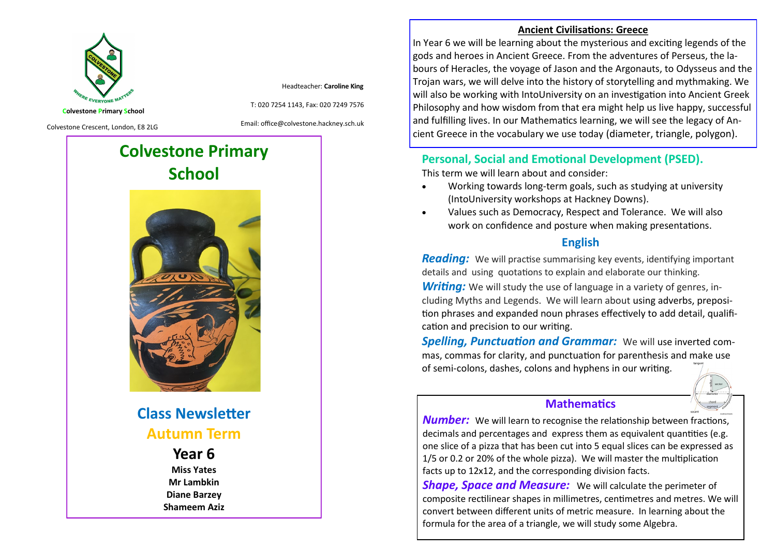

Headteacher: **Caroline King**

**Colvestone Primary School**

Colvestone Crescent, London, E8 2LG

Email: office@colvestone.hackney.sch.uk

T: 020 7254 1143, Fax: 020 7249 7576

# **Colvestone Primary School**



**Class Newsletter Autumn Term**

## **Year 6**

**Miss Yates Mr Lambkin Diane Barzey Shameem Aziz**

#### **Ancient Civilisations: Greece**

In Year 6 we will be learning about the mysterious and exciting legends of the gods and heroes in Ancient Greece. From the adventures of Perseus, the labours of Heracles, the voyage of Jason and the Argonauts, to Odysseus and the Trojan wars, we will delve into the history of storytelling and mythmaking. We will also be working with IntoUniversity on an investigation into Ancient Greek Philosophy and how wisdom from that era might help us live happy, successful and fulfilling lives. In our Mathematics learning, we will see the legacy of Ancient Greece in the vocabulary we use today (diameter, triangle, polygon).

### **Personal, Social and Emotional Development (PSED).**

This term we will learn about and consider:

- Working towards long-term goals, such as studying at university (IntoUniversity workshops at Hackney Downs).
- Values such as Democracy, Respect and Tolerance. We will also work on confidence and posture when making presentations.

### **English**

*Reading:* We will practise summarising key events, identifying important details and using quotations to explain and elaborate our thinking.

**Writing:** We will study the use of language in a variety of genres, including Myths and Legends. We will learn about using adverbs, preposition phrases and expanded noun phrases effectively to add detail, qualification and precision to our writing.

*Spelling, Punctuation and Grammar:* We will use inverted commas, commas for clarity, and punctuation for parenthesis and make use of semi-colons, dashes, colons and hyphens in our writing.

#### **Mathematics**

*Number:* We will learn to recognise the relationship between fractions, decimals and percentages and express them as equivalent quantities (e.g. one slice of a pizza that has been cut into 5 equal slices can be expressed as 1/5 or 0.2 or 20% of the whole pizza). We will master the multiplication facts up to 12x12, and the corresponding division facts.

*Shape, Space and Measure:* We will calculate the perimeter of composite rectilinear shapes in millimetres, centimetres and metres. We will convert between different units of metric measure. In learning about the formula for the area of a triangle, we will study some Algebra.